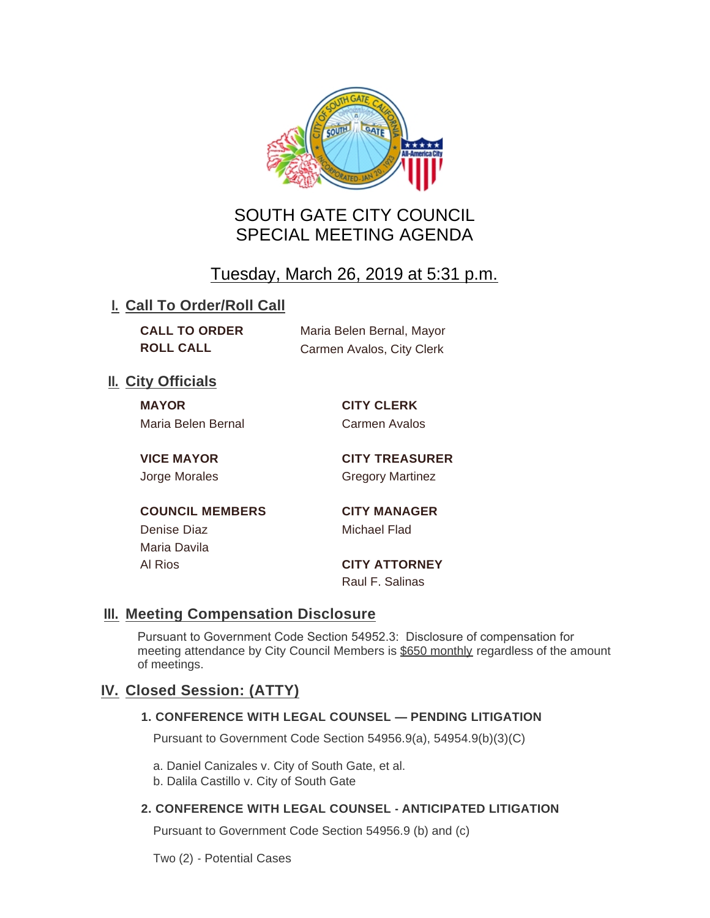

# SOUTH GATE CITY COUNCIL SPECIAL MEETING AGENDA

# Tuesday, March 26, 2019 at 5:31 p.m.

## **I. Call To Order/Roll Call**

| <b>CALL TO ORDER</b> | Maria Belen Bernal, Mayor |
|----------------------|---------------------------|
| <b>ROLL CALL</b>     | Carmen Avalos, City Clerk |

## **II.** City Officials

**MAYOR CITY CLERK** Maria Belen Bernal Carmen Avalos

**VICE MAYOR CITY TREASURER** Jorge Morales Gregory Martinez

**COUNCIL MEMBERS CITY MANAGER** Denise Diaz **Michael Flad** Maria Davila Al Rios **CITY ATTORNEY**

Raul F. Salinas

## **Meeting Compensation Disclosure III.**

Pursuant to Government Code Section 54952.3: Disclosure of compensation for meeting attendance by City Council Members is \$650 monthly regardless of the amount of meetings.

## **Closed Session: (ATTY) IV.**

### **1. CONFERENCE WITH LEGAL COUNSEL — PENDING LITIGATION**

Pursuant to Government Code Section 54956.9(a), 54954.9(b)(3)(C)

a. Daniel Canizales v. City of South Gate, et al.

b. Dalila Castillo v. City of South Gate

### **2. CONFERENCE WITH LEGAL COUNSEL - ANTICIPATED LITIGATION**

Pursuant to Government Code Section 54956.9 (b) and (c)

Two (2) - Potential Cases